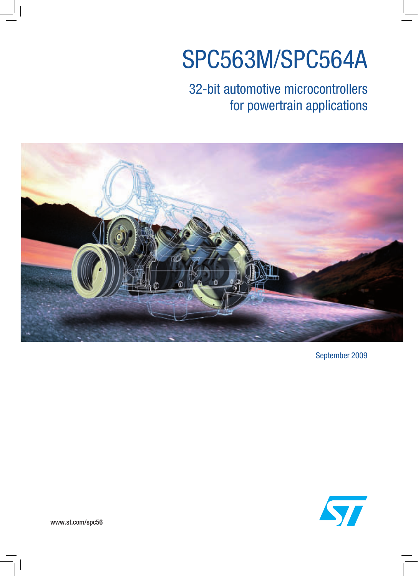# SPC563M/SPC564A

## 32-bit automotive microcontrollers for powertrain applications



September 2009



www.st.com/spc56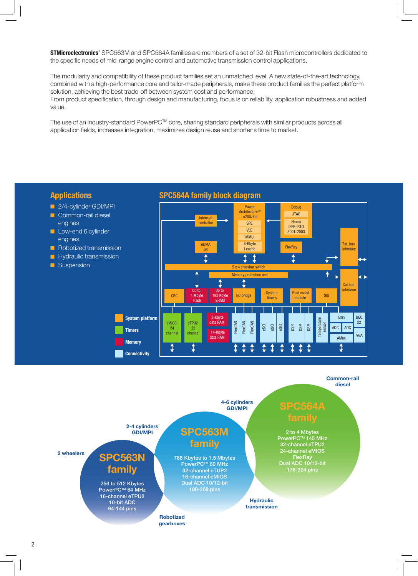**STMicroelectronics**' SPC563M and SPC564A families are members of a set of 32-bit Flash microcontrollers dedicated to the specific needs of mid-range engine control and automotive transmission control applications.

The modularity and compatibility of these product families set an unmatched level. A new state-of-the-art technology, combined with a high-performance core and tailor-made peripherals, make these product families the perfect platform solution, achieving the best trade-off between system cost and performance. From product specification, through design and manufacturing, focus is on reliability, application robustness and added

value.

The use of an industry-standard PowerPC™ core, sharing standard peripherals with similar products across all application fields, increases integration, maximizes design reuse and shortens time to market.

#### **Applications SPC564A family block diagram** 2/4-cylinder GDI/MPI Debug Power<br>™Architecture Common-rail diesel JTAG e200z4d Interrup engines **Nexus** SPE controller IEEE-ISTO Low-end 6 cylinder VLE 5001-2003 MMU engines 8-Kbyte Ext. bus eDMA Robotized transmission **64 FlexRay** I cache interface  $\blacksquare$  Hydraulic transmission  $\ddot{\textbf{t}}$  $\mathbf{f}$ t  $\ddagger$ **G** Suspension 5 x 4 crossbar switch Memory protection unit  $\hat{r}$ Cal bus interface Up to Up to Boot assist **System** CRC 4 Mbyte 192 Kbyte 1/0 bridge 4 Mb <sup>300t assist</sup> siu 192 Kbyte timers Flash SRAM DEC **System platform** 3-Kbyte ADCi **Temperature** data RAM X2 eMIOS eTPU2 FlexCAN imperatu **FlexCAN FlexCAN** sensor eSCI eSCI eSCI DSPI DSPI DSPI ADC ADC 24 32 **Timers** 14-Kbyte channel channel VGA data RAM AMux **Memory**  $\ddagger$ t t  $\ddagger$ ₫ t Î Î 1 ↨ ↨ t **Connectivity**

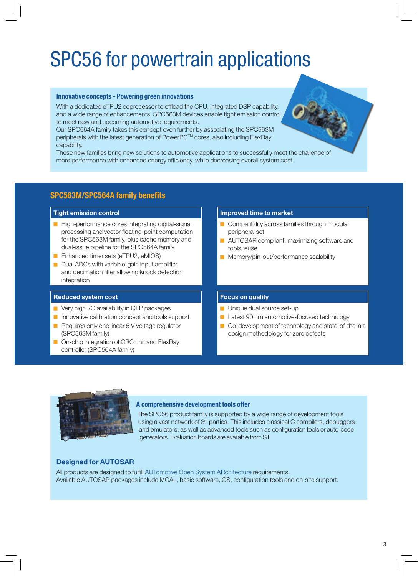## SPC56 for powertrain applications

#### **Innovative concepts - Powering green innovations**

With a dedicated eTPU2 coprocessor to offload the CPU, integrated DSP capability, and a wide range of enhancements, SPC563M devices enable tight emission control to meet new and upcoming automotive requirements.

Our SPC564A family takes this concept even further by associating the SPC563M peripherals with the latest generation of PowerPC™ cores, also including FlexRay capability.

These new families bring new solutions to automotive applications to successfully meet the challenge of more performance with enhanced energy efficiency, while decreasing overall system cost.

### **SPC563M/SPC564A family benefits**

- High-performance cores integrating digital-signal processing and vector floating-point computation for the SPC563M family, plus cache memory and dual-issue pipeline for the SPC564A family
- **Enhanced timer sets (eTPU2, eMIOS)**
- $\Box$  Dual ADCs with variable-gain input amplifier and decimation filter allowing knock detection integration

### **Reduced system cost Focus on quality**

- $\blacksquare$  Very high I/O availability in QFP packages
- **D** Innovative calibration concept and tools support
- $\blacksquare$  Requires only one linear 5 V voltage regulator (SPC563M family)
- On-chip integration of CRC unit and FlexRay controller (SPC564A family)

#### **Tight emission control Improved time to market**

- $\Box$  Compatibility across families through modular peripheral set
- **Q AUTOSAR compliant, maximizing software and** tools reuse
- Memory/pin-out/performance scalability

- $\blacksquare$  Unique dual source set-up
- Latest 90 nm automotive-focused technology
- Co-development of technology and state-of-the-art design methodology for zero defects



#### **A comprehensive development tools offer**

The SPC56 product family is supported by a wide range of development tools using a vast network of 3<sup>rd</sup> parties. This includes classical C compilers, debuggers and emulators, as well as advanced tools such as configuration tools or auto-code generators. Evaluation boards are available from ST.

### **Designed for AUTOSAR**

All products are designed to fulfill AUTomotive Open System ARchitecture requirements. Available AUTOSAR packages include MCAL, basic software, OS, configuration tools and on-site support.